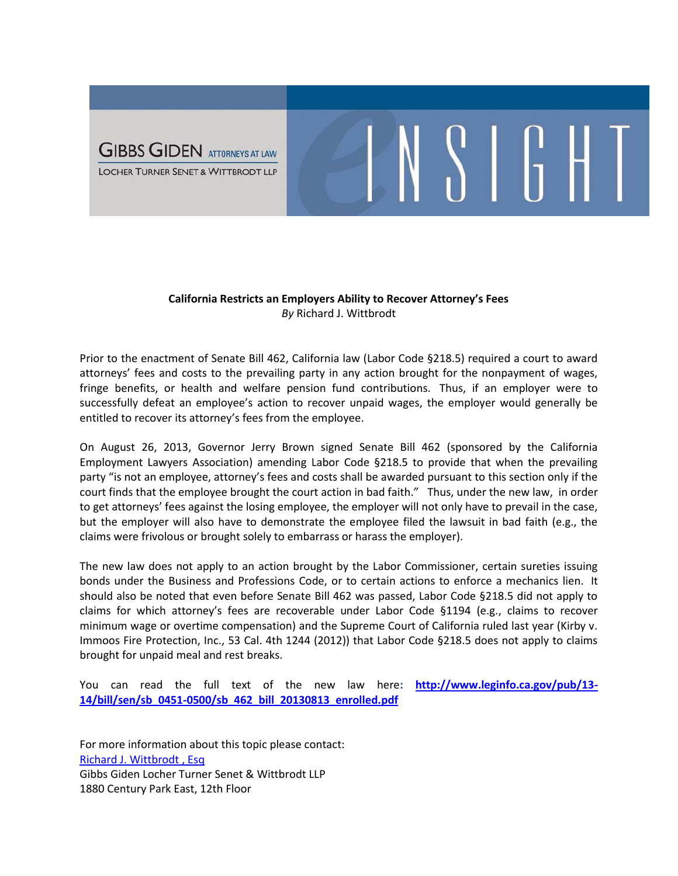

## **California Restricts an Employers Ability to Recover Attorney's Fees** *By* Richard J. Wittbrodt

 $\mathcal{S}$  | | | | | |

Prior to the enactment of Senate Bill 462, California law (Labor Code §218.5) required a court to award attorneys' fees and costs to the prevailing party in any action brought for the nonpayment of wages, fringe benefits, or health and welfare pension fund contributions. Thus, if an employer were to successfully defeat an employee's action to recover unpaid wages, the employer would generally be entitled to recover its attorney's fees from the employee.

On August 26, 2013, Governor Jerry Brown signed Senate Bill 462 (sponsored by the California Employment Lawyers Association) amending Labor Code §218.5 to provide that when the prevailing party "is not an employee, attorney's fees and costs shall be awarded pursuant to this section only if the court finds that the employee brought the court action in bad faith." Thus, under the new law, in order to get attorneys' fees against the losing employee, the employer will not only have to prevail in the case, but the employer will also have to demonstrate the employee filed the lawsuit in bad faith (e.g., the claims were frivolous or brought solely to embarrass or harass the employer).

The new law does not apply to an action brought by the Labor Commissioner, certain sureties issuing bonds under the Business and Professions Code, or to certain actions to enforce a mechanics lien. It should also be noted that even before Senate Bill 462 was passed, Labor Code §218.5 did not apply to claims for which attorney's fees are recoverable under Labor Code §1194 (e.g., claims to recover minimum wage or overtime compensation) and the Supreme Court of California ruled last year (Kirby v. Immoos Fire Protection, Inc., 53 Cal. 4th 1244 (2012)) that Labor Code §218.5 does not apply to claims brought for unpaid meal and rest breaks.

You can read the full text of the new law here**: [http://www.leginfo.ca.gov/pub/13-](http://www.leginfo.ca.gov/pub/13-14/bill/sen/sb_0451-0500/sb_462_bill_20130813_enrolled.pdf) [14/bill/sen/sb\\_0451-0500/sb\\_462\\_bill\\_20130813\\_enrolled.pdf](http://www.leginfo.ca.gov/pub/13-14/bill/sen/sb_0451-0500/sb_462_bill_20130813_enrolled.pdf)**

For more information about this topic please contact: [Richard J. Wittbrodt , Esq](http://www.ggltsw.com/attorneys-1/richard-j-wittbrodt) Gibbs Giden Locher Turner Senet & Wittbrodt LLP 1880 Century Park East, 12th Floor